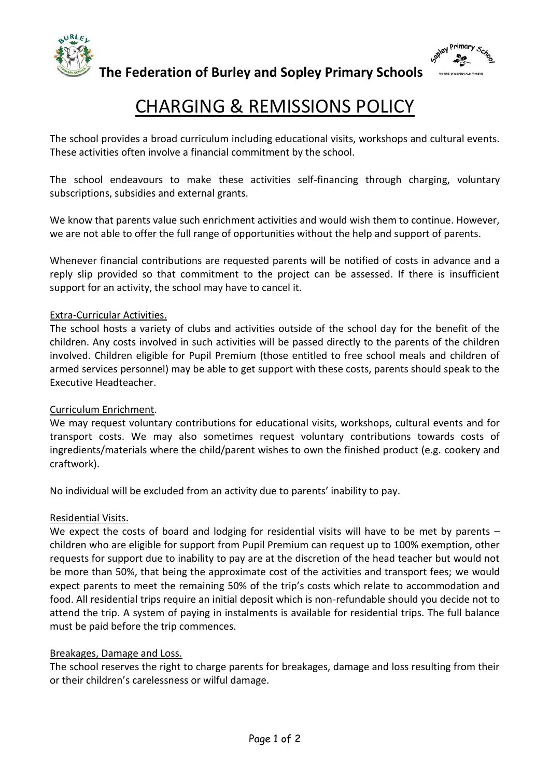



**The Federation of Burley and Sopley Primary Schools** 

# CHARGING & REMISSIONS POLICY

The school provides a broad curriculum including educational visits, workshops and cultural events. These activities often involve a financial commitment by the school.

The school endeavours to make these activities self-financing through charging, voluntary subscriptions, subsidies and external grants.

We know that parents value such enrichment activities and would wish them to continue. However, we are not able to offer the full range of opportunities without the help and support of parents.

Whenever financial contributions are requested parents will be notified of costs in advance and a reply slip provided so that commitment to the project can be assessed. If there is insufficient support for an activity, the school may have to cancel it.

#### Extra-Curricular Activities.

The school hosts a variety of clubs and activities outside of the school day for the benefit of the children. Any costs involved in such activities will be passed directly to the parents of the children involved. Children eligible for Pupil Premium (those entitled to free school meals and children of armed services personnel) may be able to get support with these costs, parents should speak to the Executive Headteacher.

#### Curriculum Enrichment.

We may request voluntary contributions for educational visits, workshops, cultural events and for transport costs. We may also sometimes request voluntary contributions towards costs of ingredients/materials where the child/parent wishes to own the finished product (e.g. cookery and craftwork).

No individual will be excluded from an activity due to parents' inability to pay.

#### Residential Visits.

We expect the costs of board and lodging for residential visits will have to be met by parents – children who are eligible for support from Pupil Premium can request up to 100% exemption, other requests for support due to inability to pay are at the discretion of the head teacher but would not be more than 50%, that being the approximate cost of the activities and transport fees; we would expect parents to meet the remaining 50% of the trip's costs which relate to accommodation and food. All residential trips require an initial deposit which is non-refundable should you decide not to attend the trip. A system of paying in instalments is available for residential trips. The full balance must be paid before the trip commences.

#### Breakages, Damage and Loss.

The school reserves the right to charge parents for breakages, damage and loss resulting from their or their children's carelessness or wilful damage.